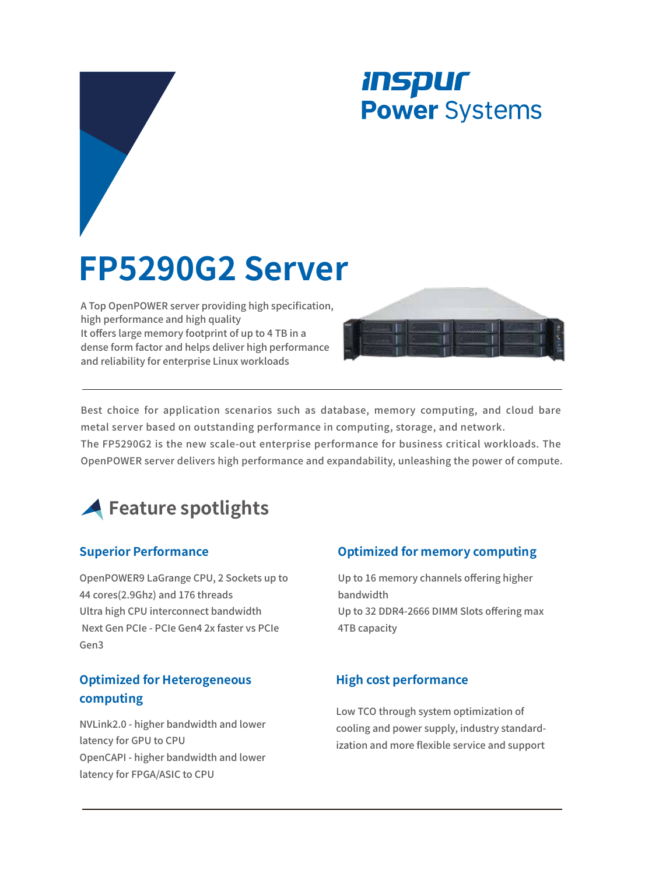## *INSPUT* **Power** Systems

# **FP5290G2 Server**

A Top OpenPOWER server providing high specification, high performance and high quality It offers large memory footprint of up to 4 TB in a dense form factor and helps deliver high performance and reliability for enterprise Linux workloads



Best choice for application scenarios such as database, memory computing, and cloud bare metal server based on outstanding performance in computing, storage, and network.

The FP5290G2 is the new scale-out enterprise performance for business critical workloads. The OpenPOWER server delivers high performance and expandability, unleashing the power of compute.



#### **Superior Performance**

OpenPOWER9 LaGrange CPU, 2 Sockets up to 44 cores(2.9Ghz) and 176 threads Ultra high CPU interconnect bandwidth Next Gen PCIe - PCIe Gen4 2x faster vs PCIe Gen3

#### **Optimized for Heterogeneous computing**

NVLink2.0 - higher bandwidth and lower latency for GPU to CPU OpenCAPI - higher bandwidth and lower latency for FPGA/ASIC to CPU

#### **Optimized for memory computing**

Up to 16 memory channels offering higher bandwidth Up to 32 DDR4-2666 DIMM Slots offering max 4TB capacity

#### **High cost performance**

Low TCO through system optimization of cooling and power supply, industry standardization and more flexible service and support